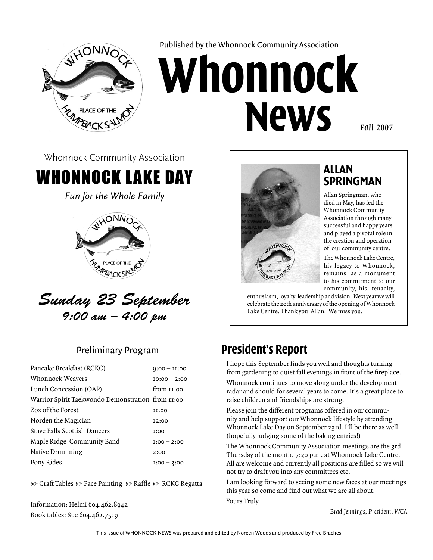

Published by the Whonnock Community Association

# **Whonnock News**

*Fall 2007*

Whonnock Community Association

# Whonnock Lake Day

*Fun for the Whole Family*



*Sunday 23 September 9:00 am – 4:00 pm*

#### Preliminary Program

| Pancake Breakfast (RCKC)                          | $Q:00 - II:00$ |
|---------------------------------------------------|----------------|
| Whonnock Weavers                                  | $IO:00 - 2:00$ |
| Lunch Concession (OAP)                            | from 11:00     |
| Warrior Spirit Taekwondo Demonstration from 11:00 |                |
| Zox of the Forest                                 | <b>II:00</b>   |
| Norden the Magician                               | 12:00          |
| Stave Falls Scottish Dancers                      | <b>I:00</b>    |
| Maple Ridge Community Band                        | $I:00 - 2:00$  |
| Native Drumming                                   | 2:00           |
| Pony Rides                                        | $I:00 - 3:00$  |

**t** Craft Tables **t** Face Painting **t** Raffle **t** RCKC Regatta

Information: Helmi 604.462.8942 Book tables: Sue 604.462.7519



#### **Allan Springman**

Allan Springman, who died in May, has led the Whonnock Community Association through many successful and happy years and played a pivotal role in the creation and operation of our community centre.

The Whonnock Lake Centre, his legacy to Whonnock, remains as a monument to his commitment to our community, his tenacity,

enthusiasm, loyalty, leadership and vision. Next year we will celebrate the 20th anniversary of the opening of Whonnock Lake Centre. Thank you Allan. We miss you.

#### **President's Report**

I hope this September finds you well and thoughts turning from gardening to quiet fall evenings in front of the fireplace. Whonnock continues to move along under the development radar and should for several years to come. It's a great place to raise children and friendships are strong.

Please join the different programs offered in our community and help support our Whonnock lifestyle by attending Whonnock Lake Day on September 23rd. I'll be there as well (hopefully judging some of the baking entries!)

The Whonnock Community Association meetings are the 3rd Thursday of the month, 7:30 p.m. at Whonnock Lake Centre. All are welcome and currently all positions are filled so we will not try to draft you into any committees etc.

I am looking forward to seeing some new faces at our meetings this year so come and find out what we are all about. Yours Truly.

*Brad Jennings, President, WCA*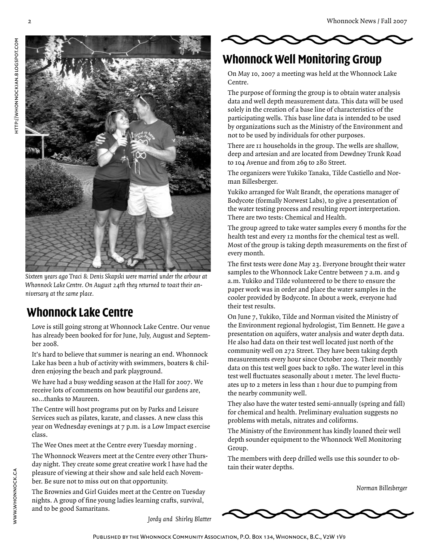

*Sixteen years ago Traci & Denis Skapski were married under the arbour at Whonnock Lake Centre. On August 24th they returned to toast their anniversary at the same place.* 

#### **Whonnock Lake Centre**

Love is still going strong at Whonnock Lake Centre. Our venue has already been booked for for June, July, August and September 2008.

It's hard to believe that summer is nearing an end. Whonnock Lake has been a hub of activity with swimmers, boaters & children enjoying the beach and park playground.

We have had a busy wedding season at the Hall for 2007. We receive lots of comments on how beautiful our gardens are, so…thanks to Maureen.

The Centre will host programs put on by Parks and Leisure Services such as pilates, karate, and classes. A new class this year on Wednesday evenings at 7 p.m. is a Low Impact exercise class.

The Wee Ones meet at the Centre every Tuesday morning .

The Whonnock Weavers meet at the Centre every other Thursday night. They create some great creative work I have had the pleasure of viewing at their show and sale held each November. Be sure not to miss out on that opportunity.

The Brownies and Girl Guides meet at the Centre on Tuesday nights. A group of fine young ladies learning crafts, survival, and to be good Samaritans.

*Jordy and Shirley Blatter*



#### **Whonnock Well Monitoring Group**

On May 10, 2007 a meeting was held at the Whonnock Lake Centre.

The purpose of forming the group is to obtain water analysis data and well depth measurement data. This data will be used solely in the creation of a base line of characteristics of the participating wells. This base line data is intended to be used by organizations such as the Ministry of the Environment and not to be used by individuals for other purposes.

There are 11 households in the group. The wells are shallow, deep and artesian and are located from Dewdney Trunk Road to 104 Avenue and from 269 to 280 Street.

The organizers were Yukiko Tanaka, Tilde Castiello and Norman Billesberger.

Yukiko arranged for Walt Brandt, the operations manager of Bodycote (formally Norwest Labs), to give a presentation of the water testing process and resulting report interpretation. There are two tests: Chemical and Health.

The group agreed to take water samples every 6 months for the health test and every 12 months for the chemical test as well. Most of the group is taking depth measurements on the first of every month.

The first tests were done May 23. Everyone brought their water samples to the Whonnock Lake Centre between 7 a.m. and 9 a.m. Yukiko and Tilde volunteered to be there to ensure the paper work was in order and place the water samples in the cooler provided by Bodycote. In about a week, everyone had their test results.

On June 7, Yukiko, Tilde and Norman visited the Ministry of the Environment regional hydrologist, Tim Bennett. He gave a presentation on aquifers, water analysis and water depth data. He also had data on their test well located just north of the community well on 272 Street. They have been taking depth measurements every hour since October 2003. Their monthly data on this test well goes back to 1980. The water level in this test well fluctuates seasonally about 1 meter. The level fluctuates up to 2 meters in less than 1 hour due to pumping from the nearby community well.

They also have the water tested semi-annually (spring and fall) for chemical and health. Preliminary evaluation suggests no problems with metals, nitrates and coliforms.

The Ministry of the Environment has kindly loaned their well depth sounder equipment to the Whonnock Well Monitoring Group.

The members with deep drilled wells use this sounder to obtain their water depths.

*Norman Billesberger*

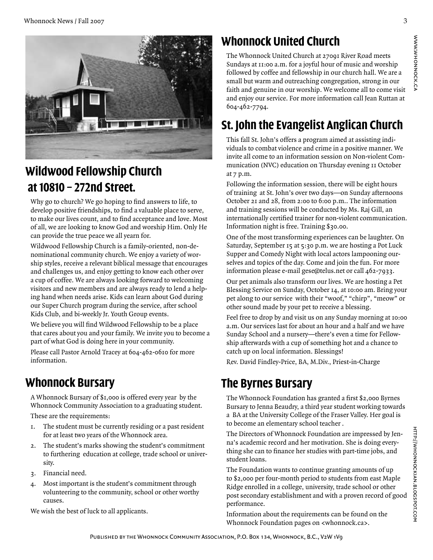

# **Wildwood Fellowship Church at 10810 – 272nd Street.**

Why go to church? We go hoping to find answers to life, to develop positive friendships, to find a valuable place to serve, to make our lives count, and to find acceptance and love. Most of all, we are looking to know God and worship Him. Only He can provide the true peace we all yearn for.

Wildwood Fellowship Church is a family-oriented, non-denominational community church. We enjoy a variety of worship styles, receive a relevant biblical message that encourages and challenges us, and enjoy getting to know each other over a cup of coffee. We are always looking forward to welcoming visitors and new members and are always ready to lend a helping hand when needs arise. Kids can learn about God during our Super Church program during the service, after school Kids Club, and bi-weekly Jr. Youth Group events.

We believe you will find Wildwood Fellowship to be a place that cares about you and your family. We invite you to become a part of what God is doing here in your community.

Please call Pastor Arnold Tracey at 604-462-0610 for more information.

# **Whonnock Bursary**

A Whonnock Bursary of \$1,000 is offered every year by the Whonnock Community Association to a graduating student.

These are the requirements:

- I. The student must be currently residing or a past resident for at least two years of the Whonnock area.
- The student's marks showing the student's commitment to furthering education at college, trade school or university. 2.
- 3. Financial need.
- Most important is the student's commitment through volunteering to the community, school or other worthy causes. 4.

We wish the best of luck to all applicants.

# **Whonnock United Church**

The Whonnock United Church at 27091 River Road meets Sundays at 11:00 a.m. for a joyful hour of music and worship followed by coffee and fellowship in our church hall. We are a small but warm and outreaching congregation, strong in our faith and genuine in our worship. We welcome all to come visit and enjoy our service. For more information call Jean Ruttan at 604-462-7794.

# **St. John the Evangelist Anglican Church**

This fall St. John's offers a program aimed at assisting individuals to combat violence and crime in a positive manner. We invite all come to an information session on Non-violent Communication (NVC) education on Thursday evening 11 October at 7 p.m.

Following the information session, there will be eight hours of training at St. John's over two days—on Sunday afternoons October 21 and 28, from 2:00 to 6:00 p.m.. The information and training sessions will be conducted by Ms. Raj Gill, an internationally certified trainer for non-violent communication. Information night is free. Training \$30.00.

One of the most transforming experiences can be laughter. On Saturday, September 15 at 5:30 p.m. we are hosting a Pot Luck Supper and Comedy Night with local actors lampooning ourselves and topics of the day. Come and join the fun. For more information please e-mail gese@telus.net or call 462-7933.

Our pet animals also transform our lives. We are hosting a Pet Blessing Service on Sunday, October 14, at 10:00 am. Bring your pet along to our service with their "woof," "chirp", "meow" or other sound made by your pet to receive a blessing.

Feel free to drop by and visit us on any Sunday morning at 10:00 a.m. Our services last for about an hour and a half and we have Sunday School and a nursery—there's even a time for Fellowship afterwards with a cup of something hot and a chance to catch up on local information. Blessings!

Rev. David Findley-Price, BA, M.Div., Priest-in-Charge

# **The Byrnes Bursary**

The Whonnock Foundation has granted a first \$2,000 Byrnes Bursary to Jenna Beaudry, a third year student working towards a BA at the University College of the Fraser Valley. Her goal is to become an elementary school teacher .

The Directors of Whonnock Foundation are impressed by Jenna's academic record and her motivation. She is doing everything she can to finance her studies with part-time jobs, and student loans.

The Foundation wants to continue granting amounts of up to \$2,000 per four-month period to students from east Maple Ridge enrolled in a college, university, trade school or other post secondary establishment and with a proven record of good performance.

Information about the requirements can be found on the Whonnock Foundation pages on <whonnock.ca>.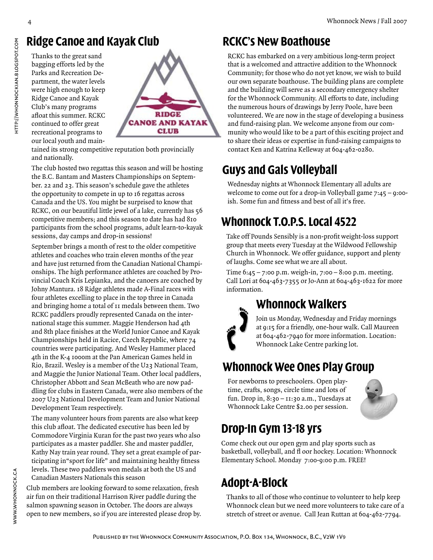#### **Ridge Canoe and Kayak Club**

Thanks to the great sand bagging efforts led by the Parks and Recreation Department, the water levels were high enough to keep Ridge Canoe and Kayak Club's many programs afloat this summer. RCKC continued to offer great recreational programs to our local youth and main-



tained its strong competitive reputation both provincially and nationally.

The club hosted two regattas this season and will be hosting the B.C. Bantam and Masters Championships on September. 22 and 23. This season's schedule gave the athletes the opportunity to compete in up to 16 regattas across Canada and the US. You might be surprised to know that RCKC, on our beautiful little jewel of a lake, currently has 56 competitive members; and this season to date has had 810 participants from the school programs, adult learn-to-kayak sessions, day camps and drop-in sessions!

September brings a month of rest to the older competitive athletes and coaches who train eleven months of the year and have just returned from the Canadian National Championships. The high performance athletes are coached by Provincial Coach Kris Lepianka, and the canoers are coached by Johny Mantura. 18 Ridge athletes made A-Final races with four athletes excelling to place in the top three in Canada and bringing home a total of 11 medals between them. Two RCKC paddlers proudly represented Canada on the international stage this summer. Maggie Henderson had 4th and 8th place finishes at the World Junior Canoe and Kayak Championships held in Racice, Czech Republic, where 74 countries were participating. And Wesley Hammer placed 4th in the K-4 1000m at the Pan American Games held in Rio, Brazil. Wesley is a member of the U23 National Team, and Maggie the Junior National Team. Other local paddlers, Christopher Abbott and Sean McBeath who are now paddling for clubs in Eastern Canada, were also members of the 2007 U23 National Development Team and Junior National Development Team respectively.

The many volunteer hours from parents are also what keep this club afloat. The dedicated executive has been led by Commodore Virginia Kuran for the past two years who also participates as a master paddler. She and master paddler, Kathy Nay train year round. They set a great example of participating in"sport for life" and maintaining healthy fitness levels. These two paddlers won medals at both the US and Canadian Masters Nationals this season

Club members are looking forward to some relaxation, fresh air fun on their traditional Harrison River paddle during the salmon spawning season in October. The doors are always open to new members, so if you are interested please drop by.

#### **RCKC's New Boathouse**

RCKC has embarked on a very ambitious long-term project that is a welcomed and attractive addition to the Whonnock Community; for those who do not yet know, we wish to build our own separate boathouse. The building plans are complete and the building will serve as a secondary emergency shelter for the Whonnock Community. All efforts to date, including the numerous hours of drawings by Jerry Poole, have been volunteered. We are now in the stage of developing a business and fund-raising plan. We welcome anyone from our community who would like to be a part of this exciting project and to share their ideas or expertise in fund-raising campaigns to contact Ken and Katrina Kelleway at 604-462-0280.

## **Guys and Gals Volleyball**

Wednesday nights at Whonnock Elementary all adults are welcome to come out for a drop-in Volleyball game 7:45 – 9:00 ish. Some fun and fitness and best of all it's free.

# **Whonnock T.O.P.S. Local 4522**

Take off Pounds Sensibly is a non-profit weight-loss support group that meets every Tuesday at the Wildwood Fellowship Church in Whonnock. We offer guidance, support and plenty of laughs. Come see what we are all about.

Time 6:45 – 7:00 p.m. weigh-in, 7:00 – 8:00 p.m. meeting. Call Lori at 604-463-7355 or Jo-Ann at 604-463-1622 for more information.

#### **Whonnock Walkers**

Join us Monday, Wednesday and Friday mornings at 9:15 for a friendly, one-hour walk. Call Maureen at 604-462-7940 for more information. Location: Whonnock Lake Centre parking lot.

#### **Whonnock Wee Ones Play Group**

For newborns to preschoolers. Open playtime, crafts, songs, circle time and lots of fun. Drop in, 8:30 – 11:30 a.m., Tuesdays at Whonnock Lake Centre \$2.00 per session.



#### **Drop-In Gym 13-18 yrs**

Come check out our open gym and play sports such as basketball, volleyball, and fl oor hockey. Location: Whonnock Elementary School. Monday 7:00-9:00 p.m. FREE!

# **Adopt-A-Block**

Thanks to all of those who continue to volunteer to help keep Whonnock clean but we need more volunteers to take care of a stretch of street or avenue. Call Jean Ruttan at 604-462-7794.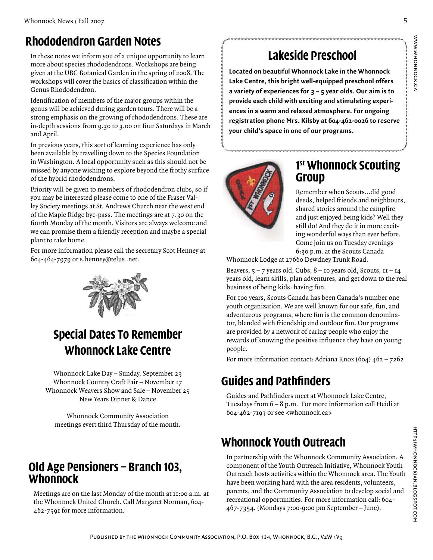#### **Rhododendron Garden Notes**

In these notes we inform you of a unique opportunity to learn more about species rhododendrons. Workshops are being given at the UBC Botanical Garden in the spring of 2008. The workshops will cover the basics of classification within the Genus Rhododendron.

Identification of members of the major groups within the genus will be achieved during garden tours. There will be a strong emphasis on the growing of rhododendrons. These are in-depth sessions from 9.30 to 3.00 on four Saturdays in March and April.

In previous years, this sort of learning experience has only been available by travelling down to the Species Foundation in Washington. A local opportunity such as this should not be missed by anyone wishing to explore beyond the frothy surface of the hybrid rhododendrons.

Priority will be given to members of rhododendron clubs, so if you may be interested please come to one of the Fraser Valley Society meetings at St. Andrews Church near the west end of the Maple Ridge bye-pass. The meetings are at 7.30 on the fourth Monday of the month. Visitors are always welcome and we can promise them a friendly reception and maybe a special plant to take home.

For more information please call the secretary Scot Henney at 604-464-7979 or s.henney@telus .net.



# **Special Dates To Remember Whonnock Lake Centre**

Whonnock Lake Day – Sunday, September 23 Whonnock Country Craft Fair – November 17 Whonnock Weavers Show and Sale – November 25 New Years Dinner & Dance

Whonnock Community Association meetings evert third Thursday of the month.

#### **Old Age Pensioners – Branch 103, Whonnock**

Meetings are on the last Monday of the month at 11:00 a.m. at the Whonnock United Church. Call Margaret Norman, 604- 462-7591 for more information.

## **Lakeside Preschool**

**Located on beautiful Whonnock Lake in the Whonnock Lake Centre, this bright well-equipped preschool offers a variety of experiences for 3 – 5 year olds. Our aim is to provide each child with exciting and stimulating experiences in a warm and relaxed atmosphere. For ongoing registration phone Mrs. Kilsby at 604-462-0026 to reserve your child's space in one of our programs.**



#### **1 st Whonnock Scouting Group**

Remember when Scouts…did good deeds, helped friends and neighbours, shared stories around the campfire and just enjoyed being kids? Well they still do! And they do it in more exciting wonderful ways than ever before. Come join us on Tuesday evenings 6:30 p.m. at the Scouts Canada

Whonnock Lodge at 27660 Dewdney Trunk Road.

Beavers,  $5 - 7$  years old, Cubs,  $8 -$  10 years old, Scouts,  $11 - 14$ years old, learn skills, plan adventures, and get down to the real business of being kids: having fun.

For 100 years, Scouts Canada has been Canada's number one youth organization. We are well known for our safe, fun, and adventurous programs, where fun is the common denominator, blended with friendship and outdoor fun. Our programs are provided by a network of caring people who enjoy the rewards of knowing the positive influence they have on young people.

For more information contact: Adriana Knox (604) 462 – 7262

# **Guides and Pathfinders**

Guides and Pathfinders meet at Whonnock Lake Centre, Tuesdays from 6 – 8 p.m. For more information call Heidi at 604-462-7193 or see <whonnock.ca>

# **Whonnock Youth Outreach**

In partnership with the Whonnock Community Association. A component of the Youth Outreach Initiative, Whonnock Youth Outreach hosts activities within the Whonnock area. The Youth have been working hard with the area residents, volunteers, parents, and the Community Association to develop social and recreational opportunities. For more information call: 604- 467-7354. (Mondays 7:00-9:00 pm September – June).